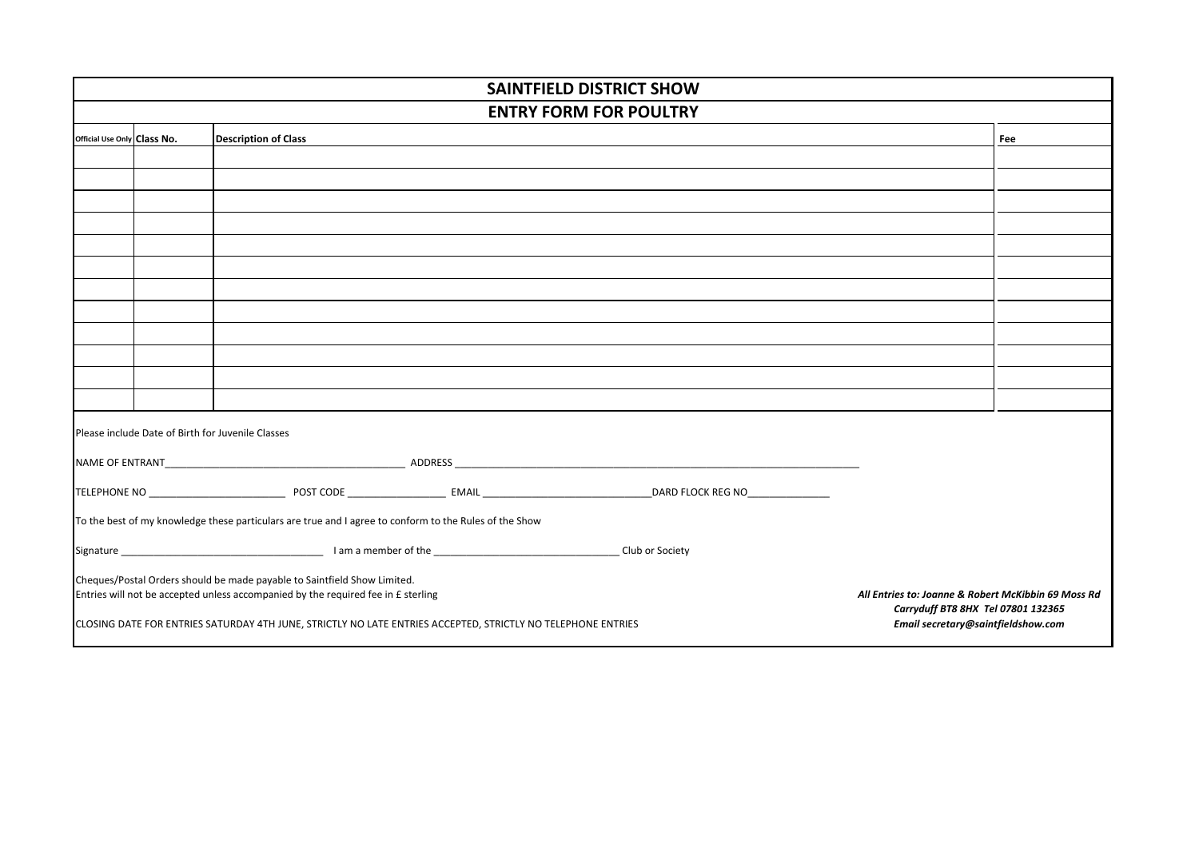| <b>SAINTFIELD DISTRICT SHOW</b>                                                                                                                                                                                                                            |  |                                                                                                        |  |  |  |     |
|------------------------------------------------------------------------------------------------------------------------------------------------------------------------------------------------------------------------------------------------------------|--|--------------------------------------------------------------------------------------------------------|--|--|--|-----|
| <b>ENTRY FORM FOR POULTRY</b>                                                                                                                                                                                                                              |  |                                                                                                        |  |  |  |     |
| Official Use Only Class No.                                                                                                                                                                                                                                |  | <b>Description of Class</b>                                                                            |  |  |  | Fee |
|                                                                                                                                                                                                                                                            |  |                                                                                                        |  |  |  |     |
|                                                                                                                                                                                                                                                            |  |                                                                                                        |  |  |  |     |
|                                                                                                                                                                                                                                                            |  |                                                                                                        |  |  |  |     |
|                                                                                                                                                                                                                                                            |  |                                                                                                        |  |  |  |     |
|                                                                                                                                                                                                                                                            |  |                                                                                                        |  |  |  |     |
|                                                                                                                                                                                                                                                            |  |                                                                                                        |  |  |  |     |
|                                                                                                                                                                                                                                                            |  |                                                                                                        |  |  |  |     |
|                                                                                                                                                                                                                                                            |  |                                                                                                        |  |  |  |     |
|                                                                                                                                                                                                                                                            |  |                                                                                                        |  |  |  |     |
|                                                                                                                                                                                                                                                            |  |                                                                                                        |  |  |  |     |
|                                                                                                                                                                                                                                                            |  |                                                                                                        |  |  |  |     |
|                                                                                                                                                                                                                                                            |  |                                                                                                        |  |  |  |     |
| Please include Date of Birth for Juvenile Classes                                                                                                                                                                                                          |  |                                                                                                        |  |  |  |     |
|                                                                                                                                                                                                                                                            |  |                                                                                                        |  |  |  |     |
|                                                                                                                                                                                                                                                            |  |                                                                                                        |  |  |  |     |
|                                                                                                                                                                                                                                                            |  | To the best of my knowledge these particulars are true and I agree to conform to the Rules of the Show |  |  |  |     |
|                                                                                                                                                                                                                                                            |  |                                                                                                        |  |  |  |     |
| Cheques/Postal Orders should be made payable to Saintfield Show Limited.<br>Entries will not be accepted unless accompanied by the required fee in £ sterling<br>All Entries to: Joanne & Robert McKibbin 69 Moss Rd<br>Carryduff BT8 8HX Tel 07801 132365 |  |                                                                                                        |  |  |  |     |
| CLOSING DATE FOR ENTRIES SATURDAY 4TH JUNE, STRICTLY NO LATE ENTRIES ACCEPTED, STRICTLY NO TELEPHONE ENTRIES<br>Email secretary@saintfieldshow.com                                                                                                         |  |                                                                                                        |  |  |  |     |